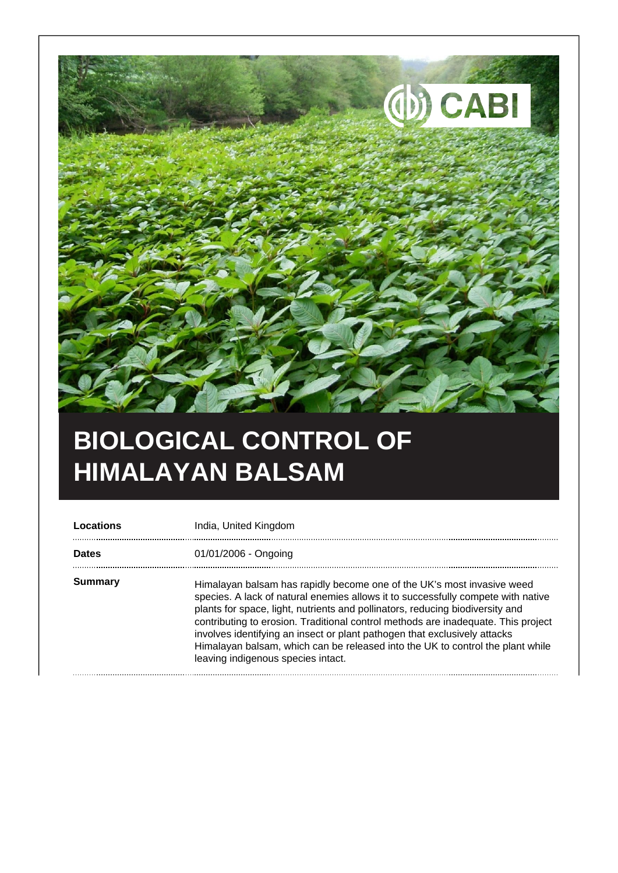

## **BIOLOGICAL CONTROL OF HIMALAYAN BALSAM**

| Locations    | India, United Kingdom                                                                                                                                                                                                                                                                                                                                                                                                                                                                                                                 |
|--------------|---------------------------------------------------------------------------------------------------------------------------------------------------------------------------------------------------------------------------------------------------------------------------------------------------------------------------------------------------------------------------------------------------------------------------------------------------------------------------------------------------------------------------------------|
| <b>Dates</b> | 01/01/2006 - Ongoing                                                                                                                                                                                                                                                                                                                                                                                                                                                                                                                  |
| Summary      | Himalayan balsam has rapidly become one of the UK's most invasive weed<br>species. A lack of natural enemies allows it to successfully compete with native<br>plants for space, light, nutrients and pollinators, reducing biodiversity and<br>contributing to erosion. Traditional control methods are inadequate. This project<br>involves identifying an insect or plant pathogen that exclusively attacks<br>Himalayan balsam, which can be released into the UK to control the plant while<br>leaving indigenous species intact. |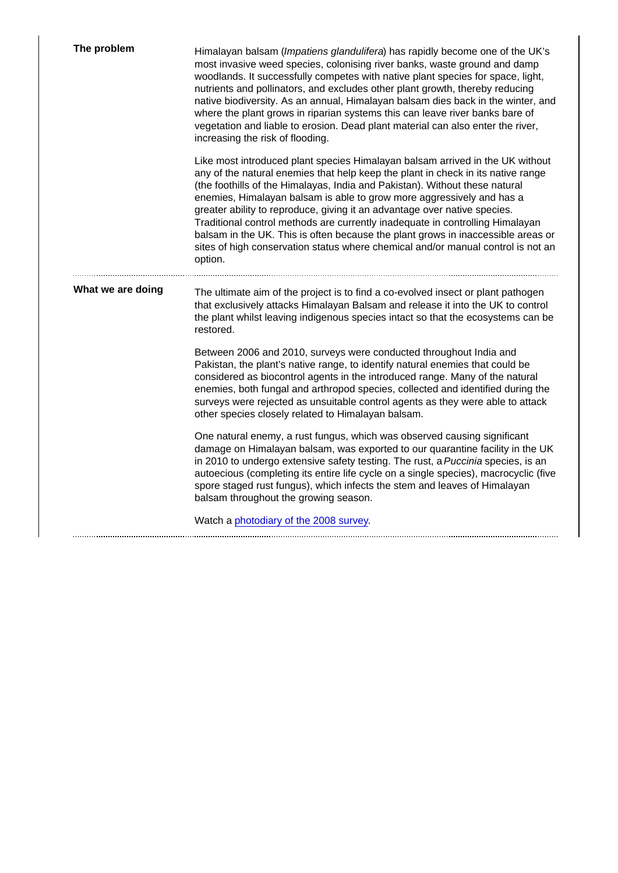| The problem       | Himalayan balsam (Impatiens glandulifera) has rapidly become one of the UK's<br>most invasive weed species, colonising river banks, waste ground and damp<br>woodlands. It successfully competes with native plant species for space, light,<br>nutrients and pollinators, and excludes other plant growth, thereby reducing<br>native biodiversity. As an annual, Himalayan balsam dies back in the winter, and<br>where the plant grows in riparian systems this can leave river banks bare of<br>vegetation and liable to erosion. Dead plant material can also enter the river,<br>increasing the risk of flooding.                                                    |
|-------------------|----------------------------------------------------------------------------------------------------------------------------------------------------------------------------------------------------------------------------------------------------------------------------------------------------------------------------------------------------------------------------------------------------------------------------------------------------------------------------------------------------------------------------------------------------------------------------------------------------------------------------------------------------------------------------|
|                   | Like most introduced plant species Himalayan balsam arrived in the UK without<br>any of the natural enemies that help keep the plant in check in its native range<br>(the foothills of the Himalayas, India and Pakistan). Without these natural<br>enemies, Himalayan balsam is able to grow more aggressively and has a<br>greater ability to reproduce, giving it an advantage over native species.<br>Traditional control methods are currently inadequate in controlling Himalayan<br>balsam in the UK. This is often because the plant grows in inaccessible areas or<br>sites of high conservation status where chemical and/or manual control is not an<br>option. |
| What we are doing | The ultimate aim of the project is to find a co-evolved insect or plant pathogen<br>that exclusively attacks Himalayan Balsam and release it into the UK to control<br>the plant whilst leaving indigenous species intact so that the ecosystems can be<br>restored.                                                                                                                                                                                                                                                                                                                                                                                                       |
|                   | Between 2006 and 2010, surveys were conducted throughout India and<br>Pakistan, the plant's native range, to identify natural enemies that could be<br>considered as biocontrol agents in the introduced range. Many of the natural<br>enemies, both fungal and arthropod species, collected and identified during the<br>surveys were rejected as unsuitable control agents as they were able to attack<br>other species closely related to Himalayan balsam.                                                                                                                                                                                                             |
|                   | One natural enemy, a rust fungus, which was observed causing significant<br>damage on Himalayan balsam, was exported to our quarantine facility in the UK<br>in 2010 to undergo extensive safety testing. The rust, a Puccinia species, is an<br>autoecious (completing its entire life cycle on a single species), macrocyclic (five<br>spore staged rust fungus), which infects the stem and leaves of Himalayan<br>balsam throughout the growing season.                                                                                                                                                                                                                |
|                   | Watch a photodiary of the 2008 survey.                                                                                                                                                                                                                                                                                                                                                                                                                                                                                                                                                                                                                                     |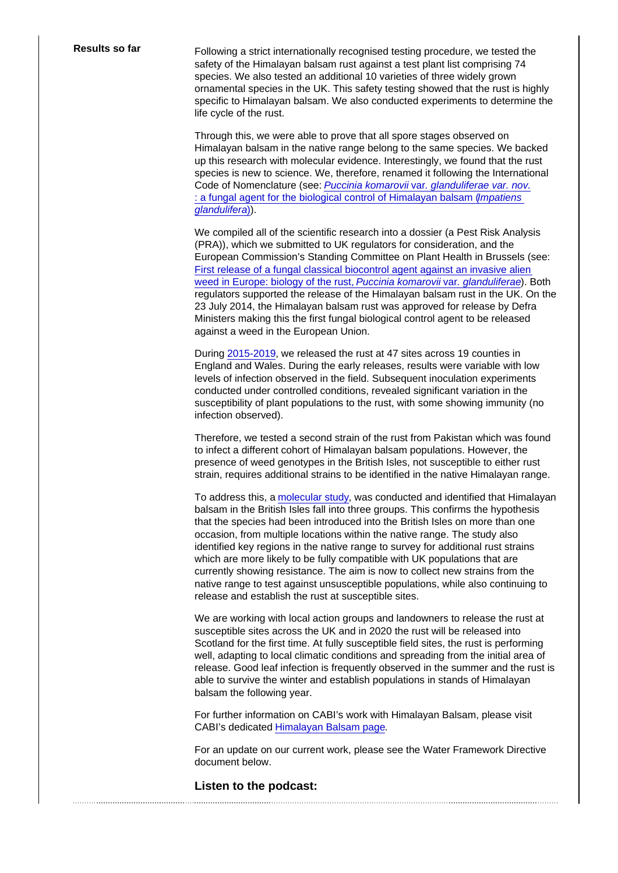Results so far Following a strict internationally recognised testing procedure, we tested the safety of the Himalayan balsam rust against a test plant list comprising 74 species. We also tested an additional 10 varieties of three widely grown ornamental species in the UK. This safety testing showed that the rust is highly specific to Himalayan balsam. We also conducted experiments to determine the life cycle of the rust.

> Through this, we were able to prove that all spore stages observed on Himalayan balsam in the native range belong to the same species. We backed up this research with molecular evidence. Interestingly, we found that the rust species is new to science. We, therefore, renamed it following the International Code of Nomenclature (see: [Puccinia komarovii](http://link.springer.com/article/10.1007/s10658-014-0539-x) var[. glanduliferae var. nov.](http://link.springer.com/article/10.1007/s10658-014-0539-x) : a fungal agent for the biological control of Himalayan balsam (Impatiens [glandulifera\)](http://link.springer.com/article/10.1007/s10658-014-0539-x)).

We compiled all of the scientific research into a dossier (a Pest Risk Analysis (PRA)), which we submitted to UK regulators for consideration, and the European Commission's Standing Committee on Plant Health in Brussels (see: [First release of a fungal classical biocontrol agent against an invasive alien](http://onlinelibrary.wiley.com/doi/10.1111/ppa.12352/abstract)  [weed in Europe: biology of the rust, Puccinia komarovii](http://onlinelibrary.wiley.com/doi/10.1111/ppa.12352/abstract) var[. glanduliferae\)](http://onlinelibrary.wiley.com/doi/10.1111/ppa.12352/abstract). Both regulators supported the release of the Himalayan balsam rust in the UK. On the 23 July 2014, the Himalayan balsam rust was approved for release by Defra Ministers making this the first fungal biological control agent to be released against a weed in the European Union.

During [2015-2019,](https://onlinelibrary.wiley.com/doi/10.1111/wre.12403) we released the rust at 47 sites across 19 counties in England and Wales. During the early releases, results were variable with low levels of infection observed in the field. Subsequent inoculation experiments conducted under controlled conditions, revealed significant variation in the susceptibility of plant populations to the rust, with some showing immunity (no infection observed).

Therefore, we tested a second strain of the rust from Pakistan which was found to infect a different cohort of Himalayan balsam populations. However, the presence of weed genotypes in the British Isles, not susceptible to either rust strain, requires additional strains to be identified in the native Himalayan range.

To address this, a [molecular study](https://www.nature.com/articles/s41598-020-67871-0), was conducted and identified that Himalayan balsam in the British Isles fall into three groups. This confirms the hypothesis that the species had been introduced into the British Isles on more than one occasion, from multiple locations within the native range. The study also identified key regions in the native range to survey for additional rust strains which are more likely to be fully compatible with UK populations that are currently showing resistance. The aim is now to collect new strains from the native range to test against unsusceptible populations, while also continuing to release and establish the rust at susceptible sites.

We are working with local action groups and landowners to release the rust at susceptible sites across the UK and in 2020 the rust will be released into Scotland for the first time. At fully susceptible field sites, the rust is performing well, adapting to local climatic conditions and spreading from the initial area of release. Good leaf infection is frequently observed in the summer and the rust is able to survive the winter and establish populations in stands of Himalayan balsam the following year.

For further information on CABI's work with Himalayan Balsam, please visit CABI's dedicated [Himalayan Balsam page.](https://www.invasive-species.org/species/himalayan-balsam/)

For an update on our current work, please see the Water Framework Directive document below.

Listen to the podcast: